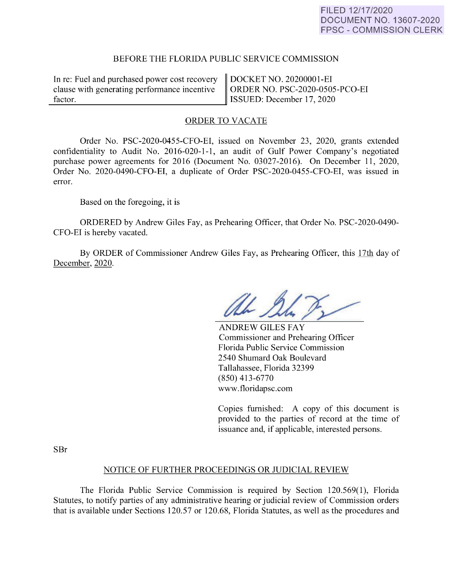## FILED 12/17/2020 DOCUMENT NO. 13607-2020 FPSC - COMMISSION CLERK

#### BEFORE THE FLORIDA PUBLIC SERVICE COMMISSION

In re: Fuel and purchased power cost recovery clause with generating performance incentive factor. factor.

DOCKET NO. 20200001-EI ORDER NO. PSC-2020-0505-PCO-EI ISSUED: December 17, 2020

## ORDER TO VACATE

Order No. PSC-2020-0455-CFO-EI, issued on November 23, 2020, grants extended confidentiality to Audit No. 2016-020-1-1, an audit of Gulf Power Company's negotiated purchase power agreements for 2016 (Document No. 03027-2016). On December 11, 2020, Order No. 2020-0490-CFO-EI, a duplicate of Order PSC-2020-0455-CFO-EI, was issued in error.

Based on the foregoing, it is

ORDERED by Andrew Giles Fay, as Prehearing Officer, that Order No. PSC-2020-0490- CFO-EI is hereby vacated.

By ORDER of Commissioner Andrew Giles Fay, as Prehearing Officer, this 17th day of December, 2020.

Ah 20

ANDREW GILES FAY Commissioner and Prehearing Officer Florida Public Service Commission 2540 Shumard Oak Boulevard Tallahassee, Florida 32399 (850) 413-6770 www.tloridapsc.com

Copies furnished: A copy of this document is provided to the parties of record at the time of issuance and, if applicable, interested persons.

SBr

#### NOTICE OF FURTHER PROCEEDINGS OR JUDICIAL REVIEW

The Florida Public Service Commission is required by Section 120.569(1), Florida Statutes, to notify parties of any administrative hearing or judicial review of Commission orders that is available under Sections 120.57 or 120.68, Florida Statutes, as well as the procedures and